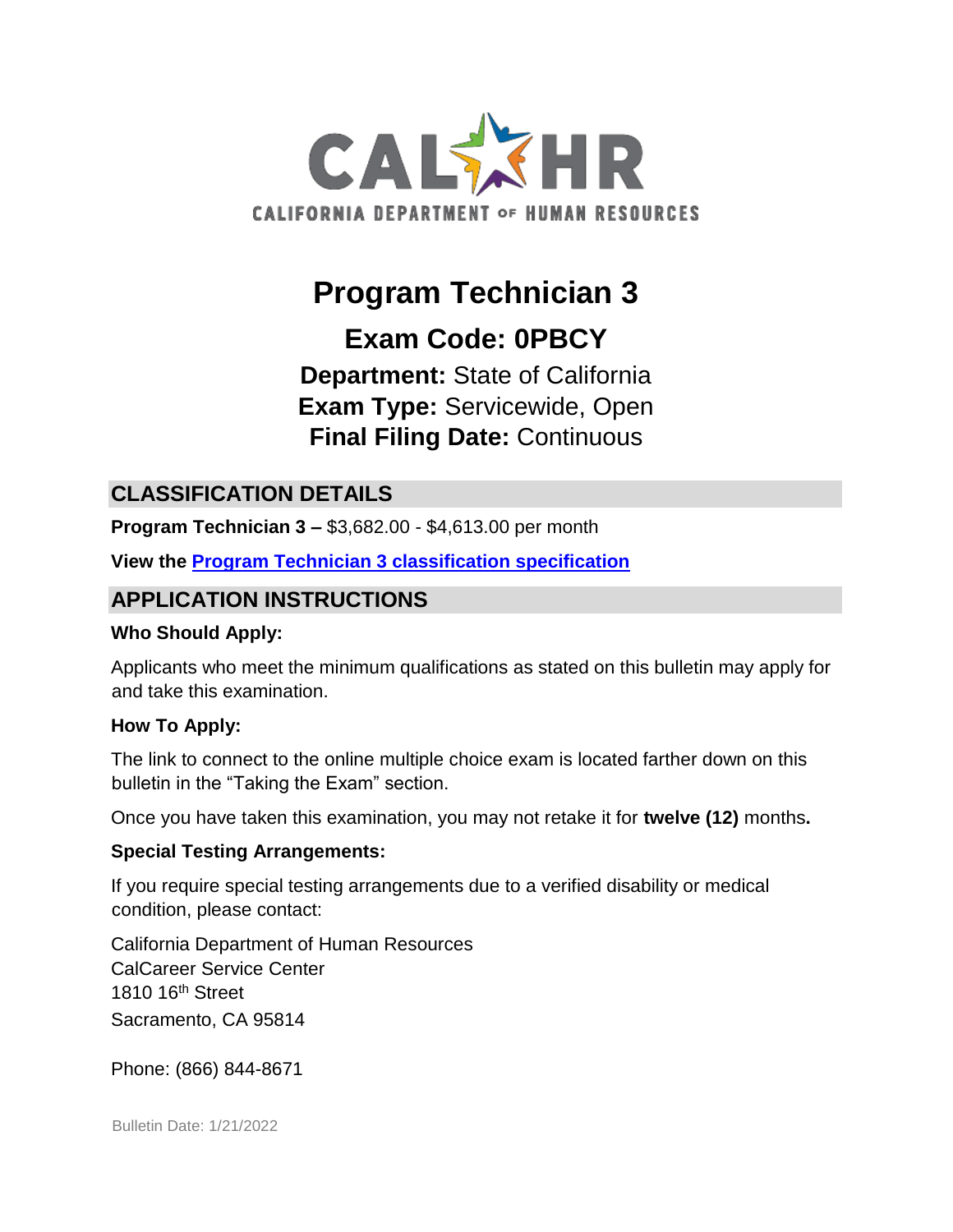

# **Program Technician 3**

**Exam Code: 0PBCY** 

**Department:** State of California **Exam Type:** Servicewide, Open **Final Filing Date:** Continuous

## **CLASSIFICATION DETAILS**

**Program Technician 3 –** \$3,682.00 - \$4,613.00 per month

**View the [Program Technician 3 classification specification](http://www.calhr.ca.gov/state-hr-professionals/pages/9927.aspx)**

## **APPLICATION INSTRUCTIONS**

#### **Who Should Apply:**

Applicants who meet the minimum qualifications as stated on this bulletin may apply for and take this examination.

#### **How To Apply:**

The link to connect to the online multiple choice exam is located farther down on this bulletin in the "Taking the Exam" section.

Once you have taken this examination, you may not retake it for **twelve (12)** months**.** 

#### **Special Testing Arrangements:**

If you require special testing arrangements due to a verified disability or medical condition, please contact:

California Department of Human Resources CalCareer Service Center 1810 16th Street Sacramento, CA 95814

Phone: (866) 844-8671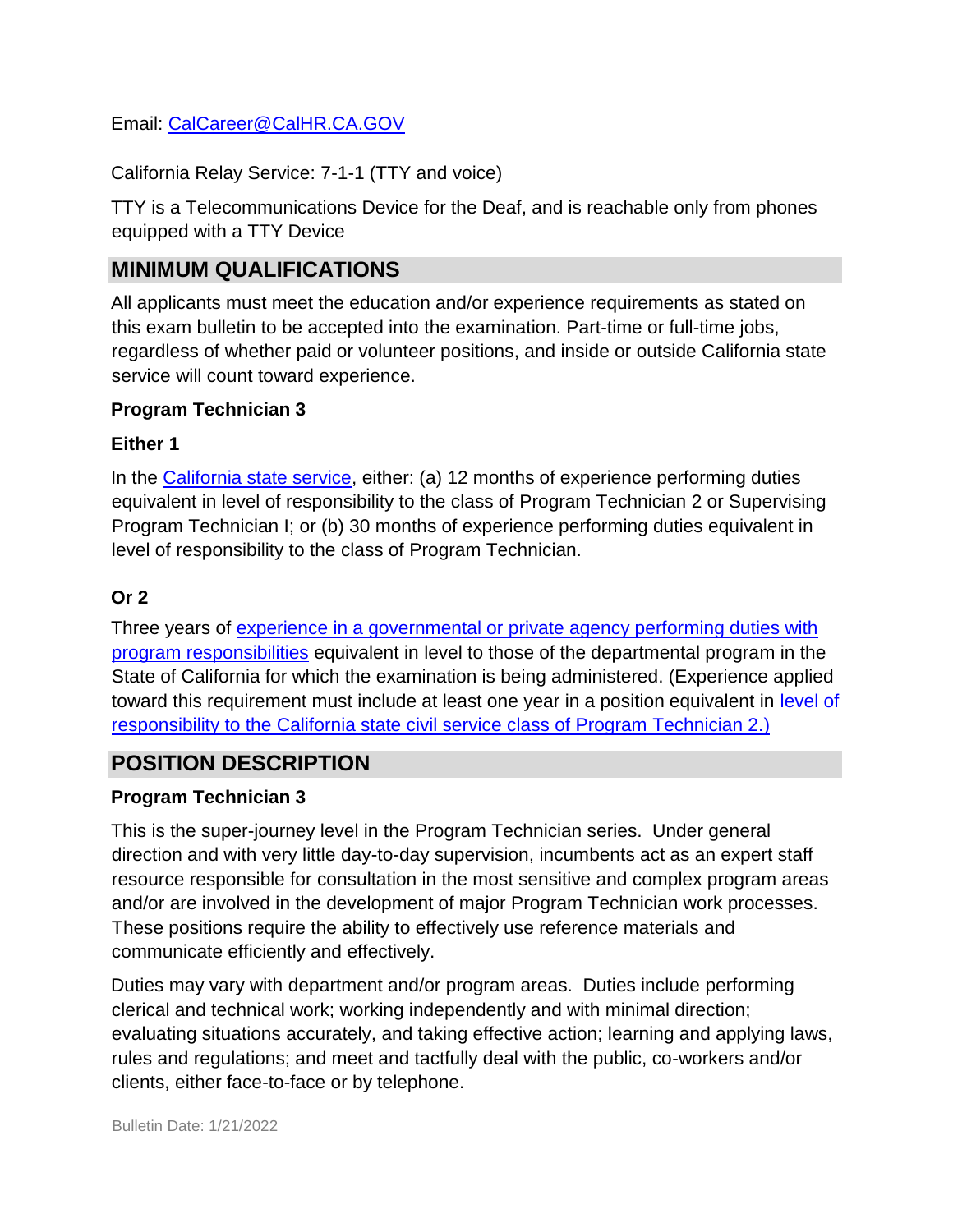Email: CalCareer@CalHR.CA.GOV

California Relay Service: 7-1-1 (TTY and voice)

TTY is a Telecommunications Device for the Deaf, and is reachable only from phones equipped with a TTY Device

# **MINIMUM QUALIFICATIONS**

All applicants must meet the education and/or experience requirements as stated on this exam bulletin to be accepted into the examination. Part-time or full-time jobs, regardless of whether paid or volunteer positions, and inside or outside California state service will count toward experience.

#### **Program Technician 3**

#### **Either 1**

In the [California state service,](http://jobs.ca.gov/jobsgen/2PB31A) either: (a) 12 months of experience performing duties equivalent in level of responsibility to the class of Program Technician 2 or Supervising Program Technician I; or (b) 30 months of experience performing duties equivalent in level of responsibility to the class of Program Technician.

## **Or 2**

Three years of [experience in a governmental or private agency performing duties with](http://jobs.ca.gov/jobsgen/2PB31B) [program responsibilities](http://jobs.ca.gov/jobsgen/2PB31B) equivalent in level to those of the departmental program in the State of California for which the examination is being administered. (Experience applied toward this requirement must include at least one year in a position equivalent in [level of](http://jobs.ca.gov/jobsgen/2PB31C) [responsibility to the California state civil service class of Program](http://jobs.ca.gov/jobsgen/2PB31C) [Technician 2.\)](http://jobs.ca.gov/jobsgen/2PB31C)

# **POSITION DESCRIPTION**

#### **Program Technician 3**

This is the super-journey level in the Program Technician series. Under general direction and with very little day-to-day supervision, incumbents act as an expert staff resource responsible for consultation in the most sensitive and complex program areas and/or are involved in the development of major Program Technician work processes. These positions require the ability to effectively use reference materials and communicate efficiently and effectively.

Duties may vary with department and/or program areas. Duties include performing clerical and technical work; working independently and with minimal direction; evaluating situations accurately, and taking effective action; learning and applying laws, rules and regulations; and meet and tactfully deal with the public, co-workers and/or clients, either face-to-face or by telephone.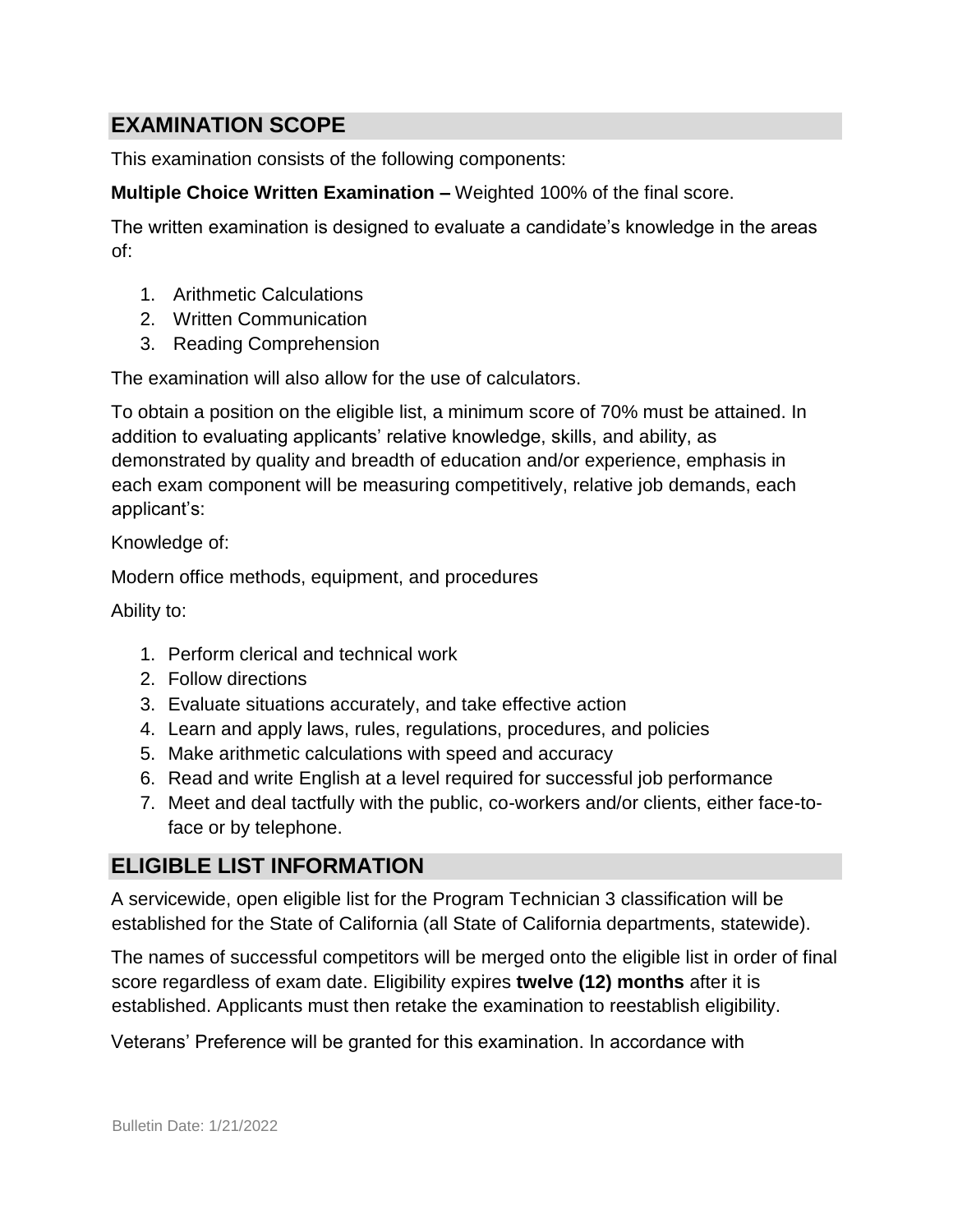## **EXAMINATION SCOPE**

This examination consists of the following components:

**Multiple Choice Written Examination –** Weighted 100% of the final score.

The written examination is designed to evaluate a candidate's knowledge in the areas of:

- 1. Arithmetic Calculations
- 2. Written Communication
- 3. Reading Comprehension

The examination will also allow for the use of calculators.

To obtain a position on the eligible list, a minimum score of 70% must be attained. In addition to evaluating applicants' relative knowledge, skills, and ability, as demonstrated by quality and breadth of education and/or experience, emphasis in each exam component will be measuring competitively, relative job demands, each applicant's:

Knowledge of:

Modern office methods, equipment, and procedures

Ability to:

- 1. Perform clerical and technical work
- 2. Follow directions
- 3. Evaluate situations accurately, and take effective action
- 4. Learn and apply laws, rules, regulations, procedures, and policies
- 5. Make arithmetic calculations with speed and accuracy
- 6. Read and write English at a level required for successful job performance
- 7. Meet and deal tactfully with the public, co-workers and/or clients, either face-toface or by telephone.

# **ELIGIBLE LIST INFORMATION**

A servicewide, open eligible list for the Program Technician 3 classification will be established for the State of California (all State of California departments, statewide).

The names of successful competitors will be merged onto the eligible list in order of final score regardless of exam date. Eligibility expires **twelve (12) months** after it is established. Applicants must then retake the examination to reestablish eligibility.

Veterans' Preference will be granted for this examination. In accordance with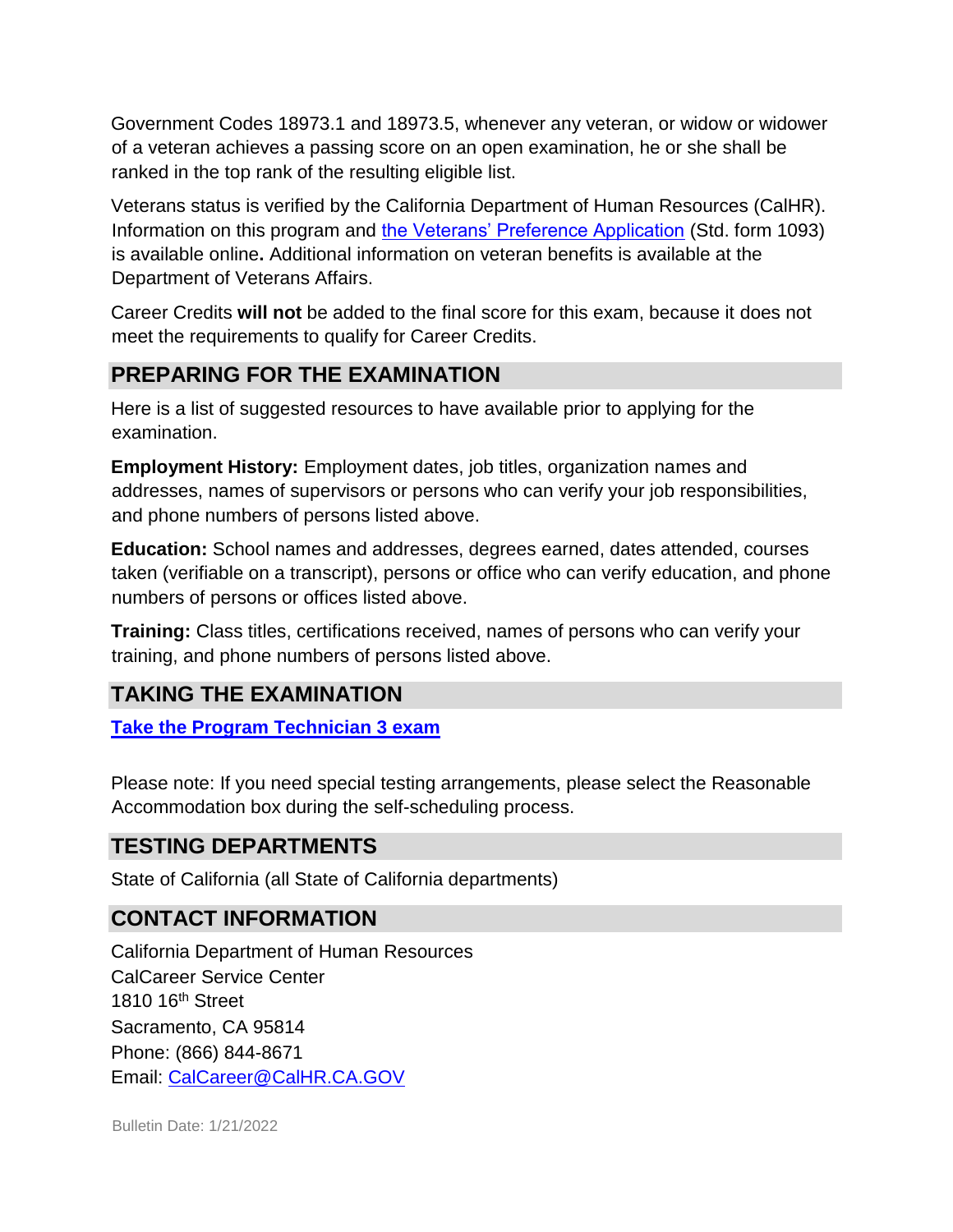Government Codes 18973.1 and 18973.5, whenever any veteran, or widow or widower of a veteran achieves a passing score on an open examination, he or she shall be ranked in the top rank of the resulting eligible list.

Veterans status is verified by the California Department of Human Resources (CalHR). Information on this program and [the Veterans' Preference Application](https://www.jobs.ca.gov/CalHRPublic/Landing/Jobs/VeteransInformation.aspx) [\(](https://www.jobs.ca.gov/CalHRPublic/Landing/Jobs/VeteransInformation.aspx)Std. form 1093) is available online**.** Additional information on veteran benefits is available at the Department of Veterans Affairs.

Career Credits **will not** be added to the final score for this exam, because it does not meet the requirements to qualify for Career Credits.

## **PREPARING FOR THE EXAMINATION**

Here is a list of suggested resources to have available prior to applying for the examination.

**Employment History:** Employment dates, job titles, organization names and addresses, names of supervisors or persons who can verify your job responsibilities, and phone numbers of persons listed above.

**Education:** School names and addresses, degrees earned, dates attended, courses taken (verifiable on a transcript), persons or office who can verify education, and phone numbers of persons or offices listed above.

**Training:** Class titles, certifications received, names of persons who can verify your training, and phone numbers of persons listed above.

## **TAKING THE EXAMINATION**

**[Take the Program Technician 3](https://www.jobs.ca.gov/CalHRPublic/Login.aspx?ExamId=0PBCY) [exam](https://www.jobs.ca.gov/CalHRPublic/Login.aspx?ExamId=0PBCY)**

Please note: If you need special testing arrangements, please select the Reasonable Accommodation box during the self-scheduling process.

## **TESTING DEPARTMENTS**

State of California (all State of California departments)

## **CONTACT INFORMATION**

California Department of Human Resources CalCareer Service Center 1810 16<sup>th</sup> Street Sacramento, CA 95814 Phone: (866) 844-8671 Email: CalCareer@CalHR.CA.GOV

Bulletin Date: 1/21/2022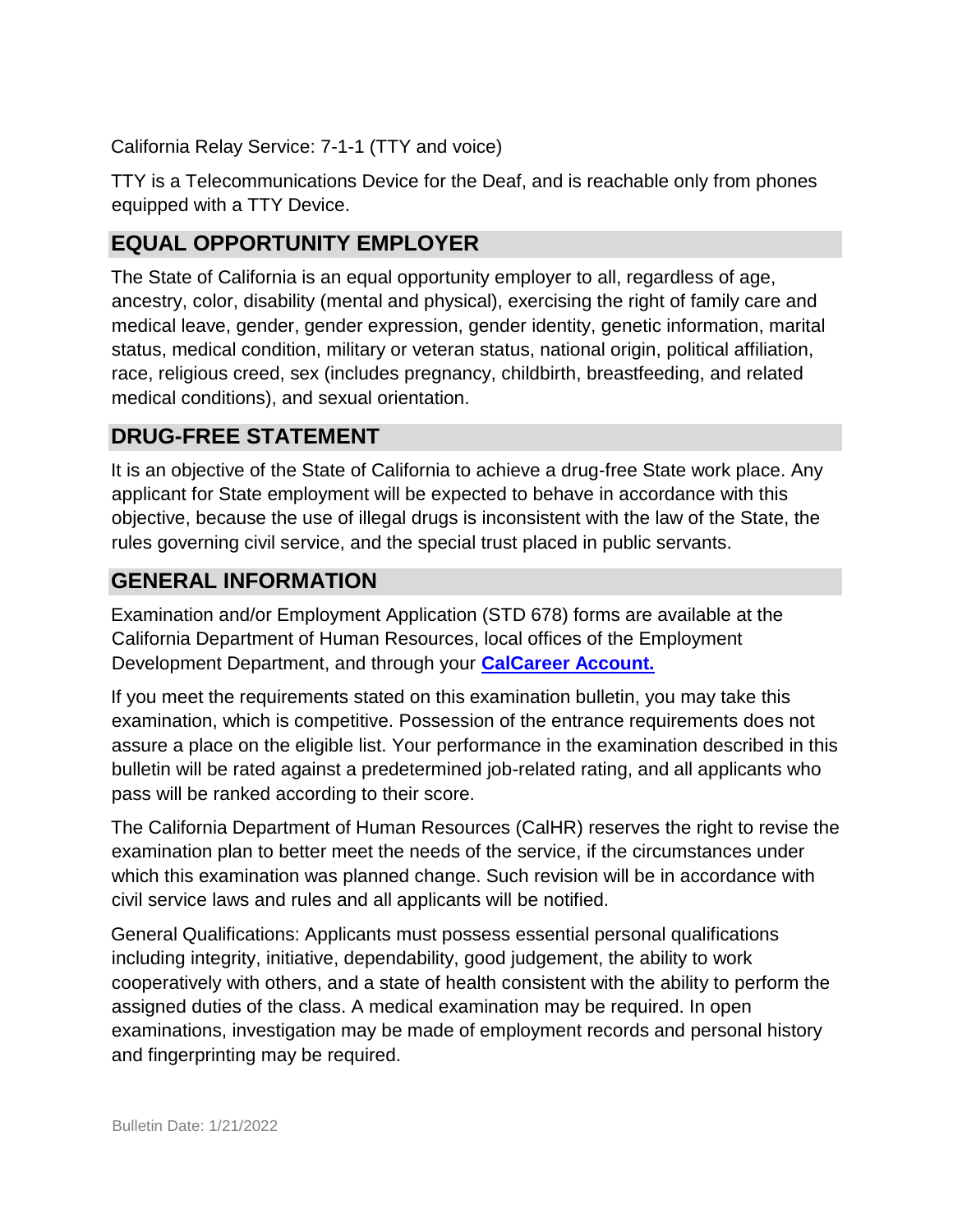California Relay Service: 7-1-1 (TTY and voice)

TTY is a Telecommunications Device for the Deaf, and is reachable only from phones equipped with a TTY Device.

# **EQUAL OPPORTUNITY EMPLOYER**

The State of California is an equal opportunity employer to all, regardless of age, ancestry, color, disability (mental and physical), exercising the right of family care and medical leave, gender, gender expression, gender identity, genetic information, marital status, medical condition, military or veteran status, national origin, political affiliation, race, religious creed, sex (includes pregnancy, childbirth, breastfeeding, and related medical conditions), and sexual orientation.

## **DRUG-FREE STATEMENT**

It is an objective of the State of California to achieve a drug-free State work place. Any applicant for State employment will be expected to behave in accordance with this objective, because the use of illegal drugs is inconsistent with the law of the State, the rules governing civil service, and the special trust placed in public servants.

## **GENERAL INFORMATION**

Examination and/or Employment Application (STD 678) forms are available at the California Department of Human Resources, local offices of the Employment Development Department, and through your **[CalCareer Account.](http://www.jobs.ca.gov/)**

If you meet the requirements stated on this examination bulletin, you may take this examination, which is competitive. Possession of the entrance requirements does not assure a place on the eligible list. Your performance in the examination described in this bulletin will be rated against a predetermined job-related rating, and all applicants who pass will be ranked according to their score.

The California Department of Human Resources (CalHR) reserves the right to revise the examination plan to better meet the needs of the service, if the circumstances under which this examination was planned change. Such revision will be in accordance with civil service laws and rules and all applicants will be notified.

General Qualifications: Applicants must possess essential personal qualifications including integrity, initiative, dependability, good judgement, the ability to work cooperatively with others, and a state of health consistent with the ability to perform the assigned duties of the class. A medical examination may be required. In open examinations, investigation may be made of employment records and personal history and fingerprinting may be required.